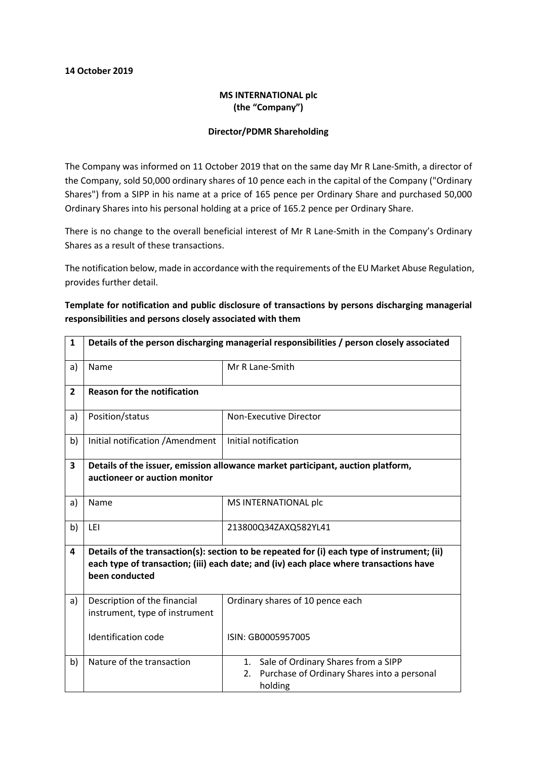#### 14 October 2019

### MS INTERNATIONAL plc (the "Company")

#### Director/PDMR Shareholding

The Company was informed on 11 October 2019 that on the same day Mr R Lane-Smith, a director of the Company, sold 50,000 ordinary shares of 10 pence each in the capital of the Company ("Ordinary Shares") from a SIPP in his name at a price of 165 pence per Ordinary Share and purchased 50,000 Ordinary Shares into his personal holding at a price of 165.2 pence per Ordinary Share.

There is no change to the overall beneficial interest of Mr R Lane-Smith in the Company's Ordinary Shares as a result of these transactions.

The notification below, made in accordance with the requirements of the EU Market Abuse Regulation, provides further detail.

# Template for notification and public disclosure of transactions by persons discharging managerial responsibilities and persons closely associated with them

| $\mathbf{1}$   | Details of the person discharging managerial responsibilities / person closely associated                                                                                                               |                                                                                                           |  |
|----------------|---------------------------------------------------------------------------------------------------------------------------------------------------------------------------------------------------------|-----------------------------------------------------------------------------------------------------------|--|
| a)             | Name                                                                                                                                                                                                    | Mr R Lane-Smith                                                                                           |  |
| $\overline{2}$ | <b>Reason for the notification</b>                                                                                                                                                                      |                                                                                                           |  |
| a)             | Position/status                                                                                                                                                                                         | Non-Executive Director                                                                                    |  |
| b)             | Initial notification / Amendment                                                                                                                                                                        | Initial notification                                                                                      |  |
| 3              | Details of the issuer, emission allowance market participant, auction platform,                                                                                                                         |                                                                                                           |  |
|                | auctioneer or auction monitor                                                                                                                                                                           |                                                                                                           |  |
| a)             | Name                                                                                                                                                                                                    | MS INTERNATIONAL plc                                                                                      |  |
| b)             | LEI                                                                                                                                                                                                     | 213800Q34ZAXQ582YL41                                                                                      |  |
| 4              | Details of the transaction(s): section to be repeated for (i) each type of instrument; (ii)<br>each type of transaction; (iii) each date; and (iv) each place where transactions have<br>been conducted |                                                                                                           |  |
| a)             | Description of the financial<br>instrument, type of instrument                                                                                                                                          | Ordinary shares of 10 pence each                                                                          |  |
|                | <b>Identification code</b>                                                                                                                                                                              | ISIN: GB0005957005                                                                                        |  |
| b)             | Nature of the transaction                                                                                                                                                                               | Sale of Ordinary Shares from a SIPP<br>1.<br>Purchase of Ordinary Shares into a personal<br>2.<br>holding |  |